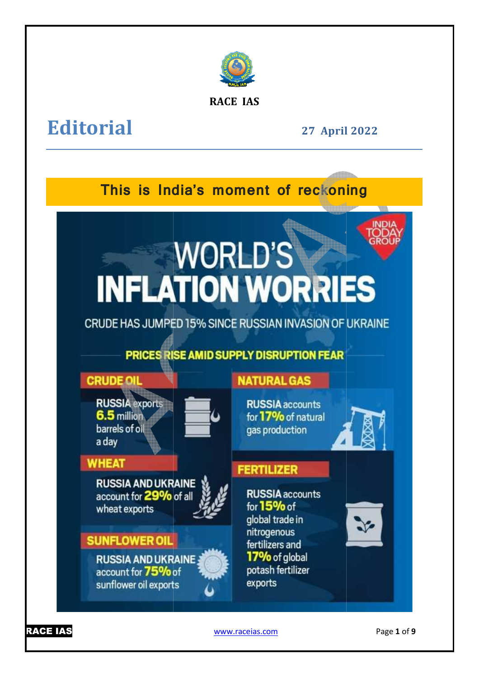

**RACE IAS**

## **Editorial**

**27 April April 2022** 

# **This is India's moment of reckoning**

# **WORLD'S INFLATION WORRIES**

CRUDE HAS JUMPED 15% SINCE RUSSIAN INVASION OF UKRAINE

## PRICES RISE AMID SUPPLY DISRUPTION FEAR

**CRUDE OIL RUSSIA** expor

6.5 million barrels of oil a day



## **WHEAT**

**RUSSIA AND UKRAINE** account for 29% of all wheat exports



## **SUNFLOWER OIL**

**RUSSIA AND UKRAINE** account for 75% of sunflower oil exports

## **NATURAL GAS**

**RUSSIA** accounts for 17% of natural gas production



### **FERTILIZER**

**RUSSIA** accounts for  $15\%$  of global trade in nitrogenous fertilizers and 17% of global potash fertilizer exports



www.raceias.com

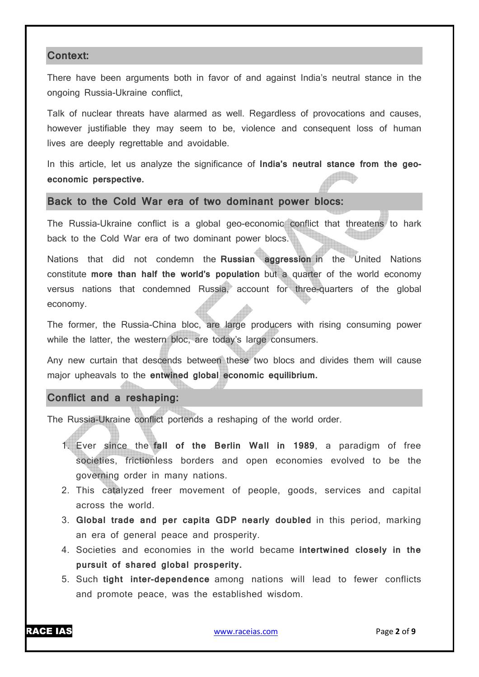#### **Context:**

There have been arguments both in favor of and against India's neutral stance in the ongoing Russia-Ukraine conflict,

Talk of nuclear threats have alarmed as well. Regardless of provocations and causes, however justifiable they may seem to be, violence and consequent loss of human lives are deeply regrettable and avoidable.

In this article, let us analyze the significance of **India's neutral stance from the geoeconomic perspective.**

#### **Back to the Cold War era of two dominant power blocs:**

The Russia-Ukraine conflict is a global geo-economic conflict that threatens to hark back to the Cold War era of two dominant power blocs.

Nations that did not condemn the **Russian aggression** in the United Nations constitute **more than half the world's population** but a quarter of the world economy versus nations that condemned Russia, account for three-quarters of the global economy.

The former, the Russia-China bloc, are large producers with rising consuming power while the latter, the western bloc, are today's large consumers.

Any new curtain that descends between these two blocs and divides them will cause major upheavals to the **entwined global economic equilibrium.**

#### **Conflict and a reshaping:**

The Russia-Ukraine conflict portends a reshaping of the world order.

- 1. Ever since the **fall of the Berlin Wall in 1989**, a paradigm of free societies, frictionless borders and open economies evolved to be the governing order in many nations.
- 2. This catalyzed freer movement of people, goods, services and capital across the world.
- 3. **Global trade and per capita GDP nearly doubled** in this period, marking an era of general peace and prosperity.
- 4. Societies and economies in the world became **intertwined closely in the pursuit of shared global prosperity.**
- 5. Such **tight inter-dependence** among nations will lead to fewer conflicts and promote peace, was the established wisdom.

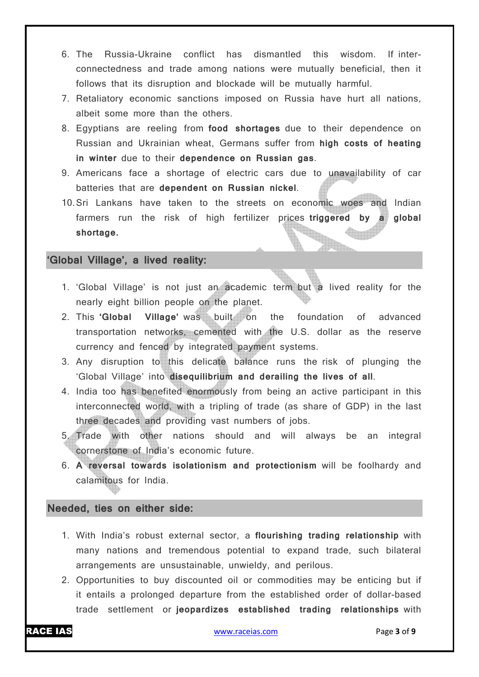- 6. The Russia-Ukraine conflict has dismantled this wisdom. If interconnectedness and trade among nations were mutually beneficial, then it follows that its disruption and blockade will be mutually harmful.
- 7. Retaliatory economic sanctions imposed on Russia have hurt all nations, albeit some more than the others.
- 8. Egyptians are reeling from **food shortages** due to their dependence on Russian and Ukrainian wheat, Germans suffer from **high costs of heating in winter** due to their **dependence on Russian gas**.
- 9. Americans face a shortage of electric cars due to unavailability of car batteries that are **dependent on Russian nickel**.
- 10.Sri Lankans have taken to the streets on economic woes and Indian farmers run the risk of high fertilizer prices **triggered by a global shortage.**

#### **'Global Village', a lived reality:**

- 1. 'Global Village' is not just an academic term but a lived reality for the nearly eight billion people on the planet.
- 2. This **'Global Village'** was built on the foundation of advanced transportation networks, cemented with the U.S. dollar as the reserve currency and fenced by integrated payment systems.
- 3. Any disruption to this delicate balance runs the risk of plunging the 'Global Village' into **disequilibrium and derailing the lives of all**.
- 4. India too has benefited enormously from being an active participant in this interconnected world, with a tripling of trade (as share of GDP) in the last three decades and providing vast numbers of jobs.
- 5. Trade with other nations should and will always be an integral cornerstone of India's economic future.
- 6. **A reversal towards isolationism and protectionism** will be foolhardy and calamitous for India.

#### **Needed, ties on either side:**

- 1. With India's robust external sector, a **flourishing trading relationship** with many nations and tremendous potential to expand trade, such bilateral arrangements are unsustainable, unwieldy, and perilous.
- 2. Opportunities to buy discounted oil or commodities may be enticing but if it entails a prolonged departure from the established order of dollar-based trade settlement or **jeopardizes established trading relationships** with

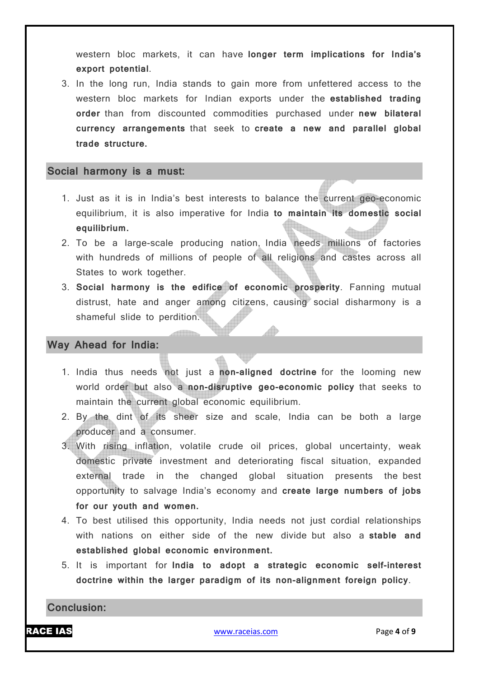western bloc markets, it can have **longer term implications for India's export potential**.

3. In the long run, India stands to gain more from unfettered access to the western bloc markets for Indian exports under the **established trading order** than from discounted commodities purchased under **new bilateral currency arrangements** that seek to **create a new and parallel global trade structure.**

#### **Social harmony is a must:**

- 1. Just as it is in India's best interests to balance the current geo-economic equilibrium, it is also imperative for India **to maintain its domestic social equilibrium.**
- 2. To be a large-scale producing nation, India needs millions of factories with hundreds of millions of people of all religions and castes across all States to work together.
- 3. **Social harmony is the edifice of economic prosperity**. Fanning mutual distrust, hate and anger among citizens, causing social disharmony is a shameful slide to perdition.

#### **Way Ahead for India:**

- 1. India thus needs not just a **non-aligned doctrine** for the looming new world order but also a **non-disruptive geo-economic policy** that seeks to maintain the current global economic equilibrium.
- 2. By the dint of its sheer size and scale, India can be both a large producer and a consumer.
- 3. With rising inflation, volatile crude oil prices, global uncertainty, weak domestic private investment and deteriorating fiscal situation, expanded external trade in the changed global situation presents the best opportunity to salvage India's economy and **create large numbers of jobs for our youth and women.**
- 4. To best utilised this opportunity, India needs not just cordial relationships with nations on either side of the new divide but also a **stable and established global economic environment.**
- 5. It is important for **India to adopt a strategic economic self-interest doctrine within the larger paradigm of its non-alignment foreign policy**.

**Conclusion:**

RACE IAS www.raceias.com Page **4** of **9**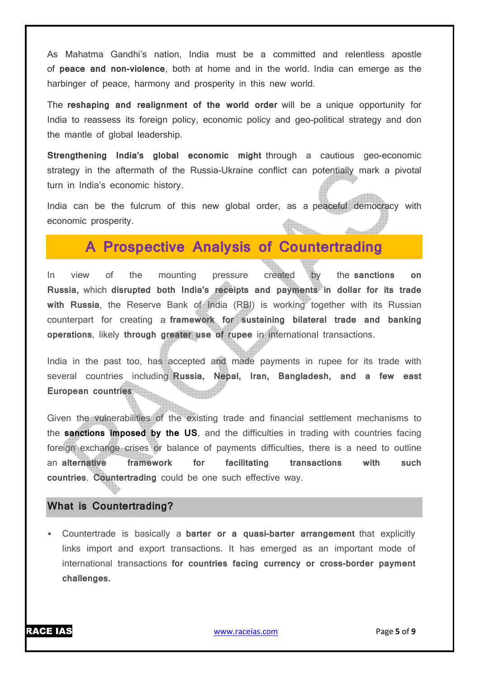As Mahatma Gandhi's nation, India must be a committed and relentless apostle of **peace and non-violence**, both at home and in the world. India can emerge as the harbinger of peace, harmony and prosperity in this new world.

The **reshaping and realignment of the world order** will be a unique opportunity for India to reassess its foreign policy, economic policy and geo-political strategy and don the mantle of global leadership.

**Strengthening India's global economic might** through a cautious geo-economic strategy in the aftermath of the Russia-Ukraine conflict can potentially mark a pivotal turn in India's economic history.

India can be the fulcrum of this new global order, as a peaceful democracy with economic prosperity.

## **A Prospective Analysis of Countertrading**

In view of the mounting pressure created by the **sanctions on Russia,** which **disrupted both India's receipts and payments in dollar for its trade with Russia**, the Reserve Bank of India (RBI) is working together with its Russian counterpart for creating a **framework for sustaining bilateral trade and banking operations**, likely **through greater use of rupee** in international transactions.

India in the past too, has accepted and made payments in rupee for its trade with several countries including **Russia, Nepal, Iran, Bangladesh, and a few east European countries**.

Given the vulnerabilities of the existing trade and financial settlement mechanisms to the **sanctions imposed by the US**, and the difficulties in trading with countries facing foreign exchange crises or balance of payments difficulties, there is a need to outline an **alternative framework for facilitating transactions with such countries**. **Countertrading** could be one such effective way.

#### **What is Countertrading?**

 Countertrade is basically a **barter or a quasi-barter arrangement** that explicitly links import and export transactions. It has emerged as an important mode of international transactions **for countries facing currency or cross-border payment challenges.**

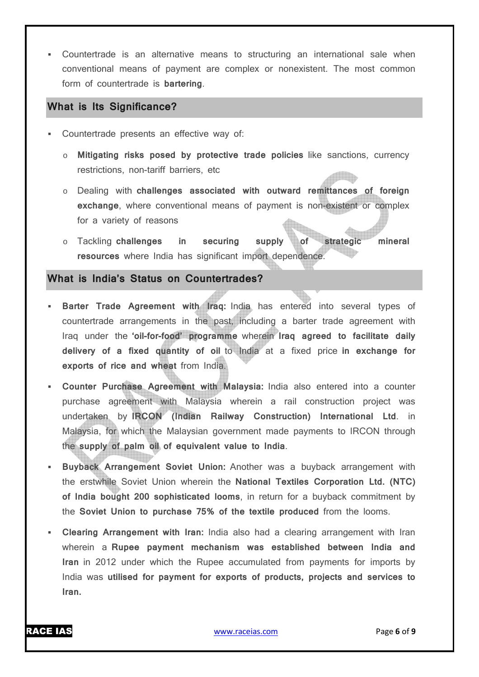Countertrade is an alternative means to structuring an international sale when conventional means of payment are complex or nonexistent. The most common form of countertrade is **bartering**.

#### **What is Its Significance?**

- Countertrade presents an effective way of:
	- o **Mitigating risks posed by protective trade policies** like sanctions, currency restrictions, non-tariff barriers, etc
	- o Dealing with **challenges associated with outward remittances of foreign exchange**, where conventional means of payment is non-existent or complex for a variety of reasons
	- o Tackling **challenges in securing supply of strategic mineral resources** where India has significant import dependence.

#### **What is India's Status on Countertrades?**

- **Barter Trade Agreement with Iraq:** India has entered into several types of countertrade arrangements in the past, including a barter trade agreement with Iraq under the **'oil-for-food' programme** wherein **Iraq agreed to facilitate daily delivery of a fixed quantity of oil** to India at a fixed price **in exchange for exports of rice and wheat** from India.
- **Counter Purchase Agreement with Malaysia:** India also entered into a counter purchase agreement with Malaysia wherein a rail construction project was undertaken by **IRCON (Indian Railway Construction) International Ltd**. in Malaysia, for which the Malaysian government made payments to IRCON through the **supply of palm oil of equivalent value to India**.
- **Buyback Arrangement Soviet Union:** Another was a buyback arrangement with the erstwhile Soviet Union wherein the **National Textiles Corporation Ltd. (NTC) of India bought 200 sophisticated looms**, in return for a buyback commitment by the **Soviet Union to purchase 75% of the textile produced** from the looms.
- **Clearing Arrangement with Iran:** India also had a clearing arrangement with Iran wherein a **Rupee payment mechanism was established between India and Iran** in 2012 under which the Rupee accumulated from payments for imports by India was **utilised for payment for exports of products, projects and services to Iran.**

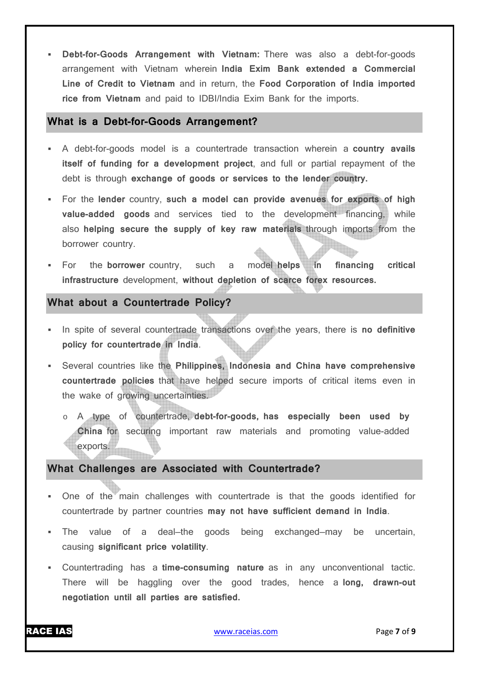**Debt-for-Goods Arrangement with Vietnam:** There was also a debt-for-goods arrangement with Vietnam wherein **India Exim Bank extended a Commercial Line of Credit to Vietnam** and in return, the **Food Corporation of India imported rice from Vietnam** and paid to IDBI/India Exim Bank for the imports.

#### **What is a Debt-for-Goods Arrangement?**

- A debt-for-goods model is a countertrade transaction wherein a **country avails itself of funding for a development project**, and full or partial repayment of the debt is through **exchange of goods or services to the lender country.**
- For the **lender** country, **such a model can provide avenues for exports of high value-added goods** and services tied to the development financing, while also **helping secure the supply of key raw materials** through imports from the borrower country.
- For the **borrower** country, such a model **helps in financing critical infrastructure** development, **without depletion of scarce forex resources.**

#### **What about a Countertrade Policy?**

- In spite of several countertrade transactions over the years, there is **no definitive policy for countertrade in India**.
- Several countries like the **Philippines, Indonesia and China have comprehensive countertrade policies** that have helped secure imports of critical items even in the wake of growing uncertainties.
	- o A type of countertrade, **debt-for-goods, has especially been used by China** for securing important raw materials and promoting value-added exports.

#### **What Challenges are Associated with Countertrade?**

- One of the main challenges with countertrade is that the goods identified for countertrade by partner countries **may not have sufficient demand in India**.
- The value of a deal—the goods being exchanged—may be uncertain, causing **significant price volatility**.
- Countertrading has a **time-consuming nature** as in any unconventional tactic. There will be haggling over the good trades, hence a **long, drawn-out negotiation until all parties are satisfied.**

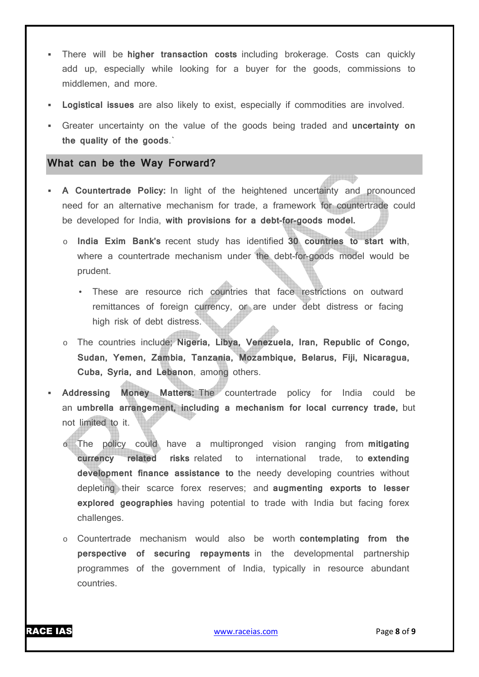- There will be **higher transaction costs** including brokerage. Costs can quickly add up, especially while looking for a buyer for the goods, commissions to middlemen, and more.
- **Logistical issues** are also likely to exist, especially if commodities are involved.
- Greater uncertainty on the value of the goods being traded and **uncertainty on the quality of the goods**.`

#### **What can be the Way Forward?**

- **A Countertrade Policy:** In light of the heightened uncertainty and pronounced need for an alternative mechanism for trade, a framework for countertrade could be developed for India, **with provisions for a debt-for-goods model.**
	- o **India Exim Bank's** recent study has identified **30 countries to start with**, where a countertrade mechanism under the debt-for-goods model would be prudent.
		- These are resource rich countries that face restrictions on outward remittances of foreign currency, or are under debt distress or facing high risk of debt distress.
	- o The countries include; **Nigeria, Libya, Venezuela, Iran, Republic of Congo, Sudan, Yemen, Zambia, Tanzania, Mozambique, Belarus, Fiji, Nicaragua, Cuba, Syria, and Lebanon**, among others.
- **Addressing Money Matters:** The countertrade policy for India could be an **umbrella arrangement, including a mechanism for local currency trade,** but not limited to it.
	- o The policy could have a multipronged vision ranging from **mitigating currency related risks** related to international trade, to **extending development finance assistance to** the needy developing countries without depleting their scarce forex reserves; and **augmenting exports to lesser explored geographies** having potential to trade with India but facing forex challenges.
	- o Countertrade mechanism would also be worth **contemplating from the perspective of securing repayments** in the developmental partnership programmes of the government of India, typically in resource abundant countries.